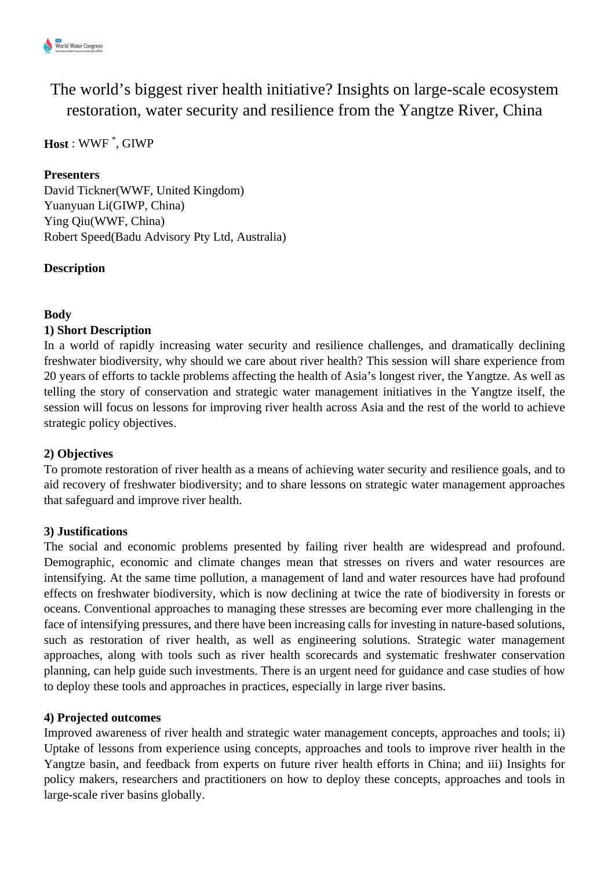

The world's biggest river health initiative? Insights on large-scale ecosystem restoration, water security and resilience from the Yangtze River, China

# **Host** : WWF \* , GIWP

#### **Presenters**

David Tickner(WWF, United Kingdom) Yuanyuan Li(GIWP, China) Ying Qiu(WWF, China) Robert Speed(Badu Advisory Pty Ltd, Australia)

# **Description**

# **Body**

# **1) Short Description**

In a world of rapidly increasing water security and resilience challenges, and dramatically declining freshwater biodiversity, why should we care about river health? This session will share experience from 20 years of efforts to tackle problems affecting the health of Asia's longest river, the Yangtze. As well as telling the story of conservation and strategic water management initiatives in the Yangtze itself, the session will focus on lessons for improving river health across Asia and the rest of the world to achieve strategic policy objectives.

#### **2) Objectives**

To promote restoration of river health as a means of achieving water security and resilience goals, and to aid recovery of freshwater biodiversity; and to share lessons on strategic water management approaches that safeguard and improve river health.

#### **3) Justifications**

The social and economic problems presented by failing river health are widespread and profound. Demographic, economic and climate changes mean that stresses on rivers and water resources are intensifying. At the same time pollution, a management of land and water resources have had profound effects on freshwater biodiversity, which is now declining at twice the rate of biodiversity in forests or oceans. Conventional approaches to managing these stresses are becoming ever more challenging in the face of intensifying pressures, and there have been increasing calls for investing in nature-based solutions, such as restoration of river health, as well as engineering solutions. Strategic water management approaches, along with tools such as river health scorecards and systematic freshwater conservation planning, can help guide such investments. There is an urgent need for guidance and case studies of how to deploy these tools and approaches in practices, especially in large river basins.

#### **4) Projected outcomes**

Improved awareness of river health and strategic water management concepts, approaches and tools; ii) Uptake of lessons from experience using concepts, approaches and tools to improve river health in the Yangtze basin, and feedback from experts on future river health efforts in China; and iii) Insights for policy makers, researchers and practitioners on how to deploy these concepts, approaches and tools in large-scale river basins globally.